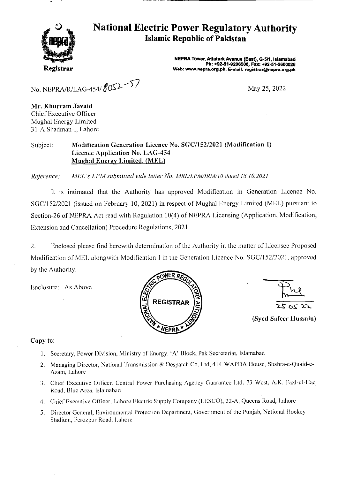

# **National Electric Power Regulatory Authority Islamic Republic of Pakistan**

**NEPRA Tower, Attaturk Avenue (East),** *G-511,* **Islamabad Ph: +92-51-9206500, Fax: +92-51-2600026 Web: www.nepra.org.pk, E-mail: registrar@nepra.org.pk** 

No. NEPRA/R/LAG-454/ $8052 - 57$ 

May 25, 2022

**Mr. Khurram Javaid**  Chief Executive Officer Mughal Energy Limited 31-A Shadman-I, Lahore

#### Subject: **Modification Generation Licence No.** SGC/I52/2021 (Modification-I) Licence Application No. LAG**-454 Mughal Energy Limited, (MEL)**

*Reference: MEL 's LPMsubiniited vide letter No. MRL/LI'M/JRM//O dated 18.10.2021* 

It is intimated that the Authority has approved Modification in Generation Licence No. SGC/152/2021 (issued on February 10, 2021) in respect of Mughal Energy Limited (MEL) pursuant to Section-26 of NEPRA Act read with Regulation 10(4) of NEPRA Licensing (Application, Modification, Extension and Cancellation) Procedure Regulations, 2021.

2. Enclosed please find herewith determination of the Authority in the matter of Licensee Proposed Modification of MEL alongwith Modification-I in the Generation Licence No. SGC/152/2021, approved by the Authority.

Enclosure: As Above





**(Syed Safeer ilussain)** 

#### **Copy to:**

- I. Secretary, Power Division, Ministry of Energy, 'A' Block, Pak Secretariat, Islaniabad
- 2. Managing Director. National Transmission & Dcspatch Co. Lid, 414-WAPDA House, Shahra-e-Quaid-c-Azam, Lahore
- 3. Chief Executive Officer, Central Power Purchasing Agency Guarantee Ltd. 73 West, A.K. Fazl-ul-Haq Road, Blue Area. Islamabad
- 4. Chief Executive Officer, Lahore Electric Supply Company (LESCO), 22-A, Queens Road, Lahore
- 5. Director General, Environmental Protection Department, Government of the Punjab, National Hockey Stadium, Ferozpur Road, Lahore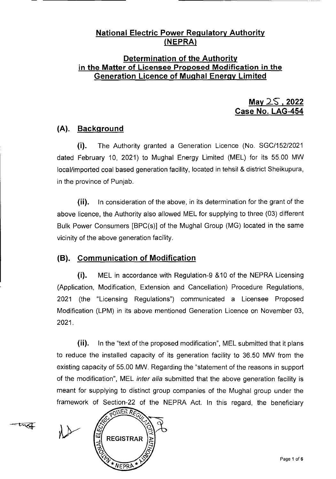#### **National Electric Power Regulatory Authority (NEPRA**

#### **Determination of the Authority in the Matter of Licensee Proposed Modification in the Generation Licence of Mughal Enerqv Limited**

**May 25, 2022 Case No. LAG-454** 

### **(A). Background**

(i). The Authority granted a Generation Licence (No. SGC/152/2021 dated February 10, 2021) to Mughal Energy Limited (MEL) for its 5500 MW local/imported coal based generation facility, located in tehsil & district Sheikupura, in the province of Punjab.

(ii). In consideration of the above, in its determination for the grant of the above licence, the Authority also allowed MEL for supplying to three (03) different Bulk Power Consumers [BPC(s)] of the Mughal Group (MG) located in the same vicinity of the above generation facility.

### **(B). Communication of Modification**

(i). MEL in accordance with Regulation-9 &10 of the NEPRA Licensing (Application, Modification, Extension and Cancellation) Procedure Regulations, 2021 (the "Licensing Regulations") communicated a Licensee Proposed Modification (LPM) in its above mentioned Generation Licence on November 03, 2021.

(ii). In the "text of the proposed modification", MEL submitted that it plans to reduce the installed capacity of its generation facility to 36.50 MW from the existing capacity of 55.00 MW. Regarding the "statement of the reasons in support of the modification", MEL *inter alia* submitted that the above generation facility is meant for supplying to distinct group companies of the Mughal group under the framework of Section-22 of the NEPRA Act. In this regard, the beneficiary

 $-$ tuat

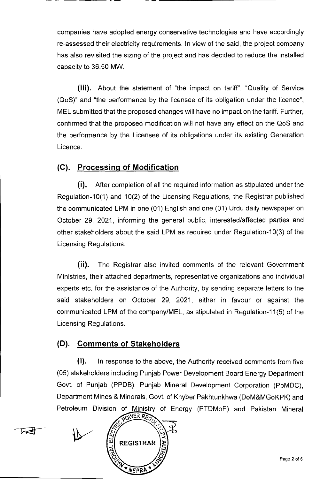companies have adopted energy conservative technologies and have accordingly re-assessed their electricity requirements. In view of the said, the project company has also revisited the sizing of the project and has decided to reduce the installed capacity to 36.50 MW.

(iii). About the statement of "the impact on tariff", "Quality of Service (QoS)" and "the performance by the licensee of its obligation under the licence", MEL submitted that the proposed changes will have no impact on the tariff. Further, confirmed that the proposed modification will not have any effect on the QoS and the performance by the Licensee of its obligations under its existing Generation Licence.

## **(C). Processinq of Modification**

(i). After completion of all the required information as stipulated under the Regulation-10(1) and 10(2) of the Licensing Regulations, the Registrar published the communicated LPM in one (01) English and one (01) Urdu daily newspaper on October 29, 2021, informing the general public, interested/affected parties and other stakeholders about the said LPM as required under Regulation-10(3) of the Licensing Regulations.

(ii). The Registrar also invited comments of the relevant Government Ministries, their attached departments, representative organizations and individual experts etc. for the assistance of the Authority, by sending separate letters to the said stakeholders on October 29, 2021, either in favour or against the communicated LPM of the company/MEL, as stipulated in Regulation-11(5) of the Licensing Regulations.

### **(0). Comments of Stakeholders**

**(i).** In response to the above, the Authority received comments from five (05) stakeholders including Punjab Power Development Board Energy Department Govt. of Punjab (PPDB), Punjab Mineral Development Corporation (PbMDC), Department Mines & Minerals, Govt. of Khyber Pakhtunkhwa (DoM&MG0KPK) and Petroleum Division of Ministry of Energy (PTDM0E) and Pakistan Mineral

POWER RECT REGISTRAR **NEPRA**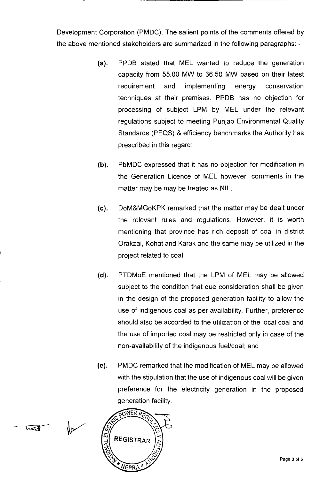Development Corporation (PMDC). The salient points of the comments offered by the above mentioned stakeholders are summarized in the following paragraphs: -

- (a). PPDB stated that MEL wanted to reduce the generation capacity from 55.00 MW to 36.50 MW based on their latest requirement and implementing energy conservation techniques at their premises. PPDB has no objection for processing of subject LPM by MEL under the relevant regulations subject to meeting Punjab Environmental Quality Standards (PEQS) & efficiency benchmarks the Authority has prescribed in this regard;
- (b). PbMDC expressed that it has no objection for modification in the Generation Licence of MEL however, comments in the matter may be may be treated as NIL;
- (c). DoM&MGoKPK remarked that the matter may be dealt under the relevant rules and regulations. However, it is worth mentioning that province has rich deposit of coal in district Orakzai, Kohat and Karak and the same may be utilized in the project related to coal;
- (d). PTDMoE mentioned that the LPM of MEL may be allowed subject to the condition that due consideration shall be given in the design of the proposed generation facility to allow the use of indigenous coal as per availability. Further, preference should also be accorded to the utilization of the local coal and the use of imported coal may be restricted only in case of the non-availability of the indigenous fuel/coal; and
- (e). PMDC remarked that the modification of MEL may be allowed with the stipulation that the use of indigenous coal will be given preference for the electricity generation in the proposed generation facility.



wat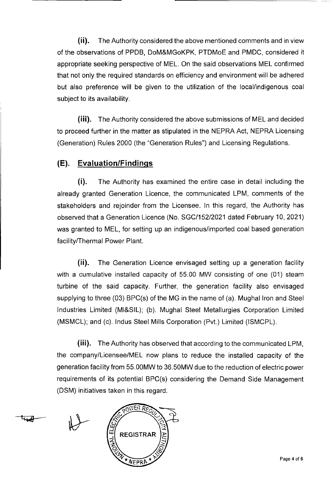(ii). The Authority considered the above mentioned comments and in view of the observations of PPDB, DoM&MGoKPK, PTDMoE and PMDC, considered it appropriate seeking perspective of MEL. On the said observations MEL confirmed that not only the required standards on efficiency and environment will be adhered but also preference will be given to the utilization of the local/indigenous coal subject to its availability.

(iii). The Authority considered the above submissions of MEL and decided to proceed further in the matter as stipulated in the NEPRA Act, NEPRA Licensing (Generation) Rules 2000 (the "Generation Rules") and Licensing Regulations.

#### **(E). Evaluation/Findinqs**

(i). The Authority has examined the entire case in detail including the already granted Generation Licence, the communicated LPM, comments of the stakeholders and rejoinder from the Licensee. In this regard, the Authority has observed that a Generation Licence (No. SGC/152/2021 dated February 10, 2021) was granted to MEL, for setting up an indigenous/imported coal based generation facility/Thermal Power Plant.

(ii). The Generation Licence envisaged setting up a generation facility with a cumulative installed capacity of 55.00 MW consisting of one (01) steam turbine of the said capacity. Further, the generation facility also envisaged supplying to three (03) BPC(s) of the MG in the name of (a). Mughal Iron and Steel Industries Limited (Ml&SlL); (b). Mughal Steel Metallurgies Corporation Limited (MSMCL); and (c). lndus Steel Mills Corporation (Pvt.) Limited (ISMCPL).

(iii). The Authority has observed that according to the communicated LPM, the company/Licensee/MEL now plans to reduce the installed capacity of the generation facility from 55.00MW to 36.50MW due to the reduction of electric power requirements of its potential BPC(s) considering the Demand Side Management (DSM) initiatives taken in this regard.

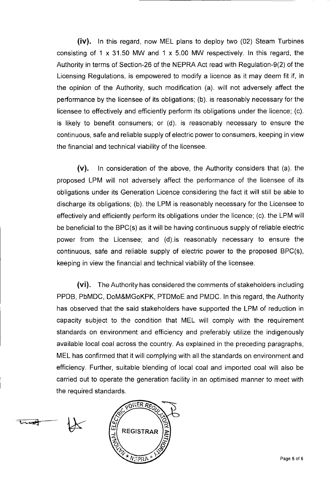(iv). In this regard, now MEL plans to deploy two (02) Steam Turbines consisting of 1 x 31.50 MW and 1 x 5.00 MW respectively. In this regard, the Authority in terms of Section-26 of the NEPRA Act read with Regulation-9(2) of the Licensing Regulations, is empowered to modify a licence as it may deem fit if, in the opinion of the Authority, such modification (a). will not adversely affect the performance by the licensee of its obligations: (b). is reasonably necessary for the licensee to effectively and efficiently perform its obligations under the licence: (c). is likely to benefit consumers; or (d). is reasonably necessary to ensure the continuous, safe and reliable supply of electric power to consumers, keeping in view the financial and technical viability of the licensee.

(v). In consideration of the above, the Authority considers that (a). the proposed LPM will not adversely affect the performance of the licensee of its obligations under its Generation Licence considering the fact it will still be able to discharge its obligations: (b). the LPM is reasonably necessary for the Licensee to effectively and efficiently perform its obligations under the licence: (c). the LPM will be beneficial to the BPC(s) as it will be having continuous supply of reliable electric power from the Licensee: and (d).is reasonably necessary to ensure the continuous, safe and reliable supply of electric power to the proposed BPC(s), keeping in view the financial and technical viability of the licensee.

(vi). The Authority has considered the comments of stakeholders including PPDB, PbMDC, DoM&MGoKPK, PTDMoE and PMDC. In this regard, the Authority has observed that the said stakeholders have supported the LPM of reduction in capacity subject to the condition that MEL will comply with the requirement standards on environment and efficiency and preferably utilize the indigenously available local coal across the country. As explained in the preceding paragraphs, MEL has confirmed that it will complying with all the standards on environment and efficiency. Further, suitable blending of local coal and imported coal will also be carried out to operate the generation facility in an optimised manner to meet with the required standards.



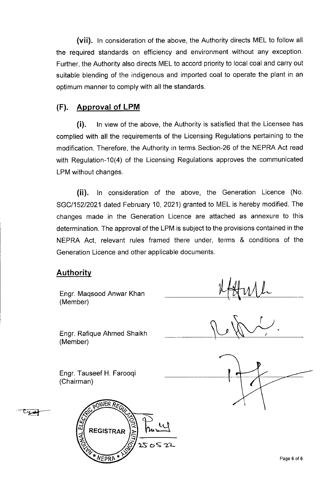(vii). In consideration of the above, the Authority directs MEL to follow all the required standards on efficiency and environment without any exception. Further, the Authority also directs MEL to accord priority to local coal and carry out suitable blending of the indigenous and imported coal to operate the plant in an optimum manner to comply with all the standards.

#### **(F). Approval of LPM**

(i). In view of the above, the Authority is satisfied that the Licensee has complied with all the requirements of the Licensing Regulations pertaining to the modification. Therefore, the Authority in terms Section-26 of the NEPRA Act read with Regulation-10(4) of the Licensing Regulations approves the communicated LPM without changes.

(ii). In consideration of the above, the Generation Licence (No. SGC/152/2021 dated February 10, 2021) granted to MEL is hereby modified. The changes made in the Generation Licence are attached as annexure to this determination. The approval of the LPM is subject to the provisions contained in the NEPRA Act, relevant rules framed there under, terms & conditions of the Generation Licence and other applicable documents.

#### **Authority**

Engr. Maqsood Anwar Khan (Member)

Engr. Rafique Ahmed Shaikh (Member)

Engr. Tauseef H. Farooqi (Chairman)



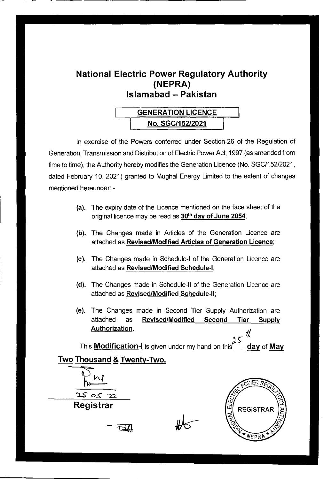# **National Electric Power Regulatory Authority (NEPRA) Islamabad — Pakistan**

# GENERATION LICENCE No. SGC115212021

In exercise of the Powers conferred under Section-26 of the Regulation of Generation, Transmission and Distribution of Electric Power Act, 1997 (as amended from time to time), the Authority hereby modifies the Generation Licence (No. SGC/152/2021, dated February 10, 2021) granted to Mughal Energy Limited to the extent of changes mentioned hereunder: -

- (a). The expiry date of the Licence mentioned on the face sheet of the original licence may be read as 30<sup>th</sup> day of June 2054;
- (b). The Changes made in Articles of the Generation Licence are attached as **Revised/Modified Articles of Generation Licence;**
- (c). The Changes made in Schedule-I of the Generation Licence are attached as **Revised/Modified** Schedule-I;
- (d). The Changes made in Schedule-Il of the Generation Licence are attached as **Revised/Modified** Schedule-Il;
- (e). The Changes made in Second Tier Supply Authorization are attached as **Revised/Modified Second Tier Supply Authorization.**

This **Modification-I** is given under my hand on this day of **May** 

Two Thousand & Twenty-Two.

 $\frac{1}{22}$  $2505$ **Registrar** 

**REGISTRAR**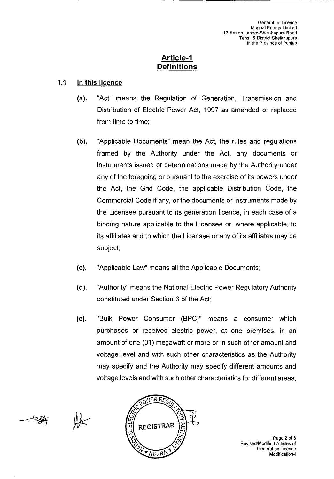#### **Article**-I **Definitions**

#### 1.1 In **this licence**

- (a). "Act" means the Regulation of Generation, Transmission and Distribution of Electric Power Act, 1997 as amended or replaced from time to time;
- (b). "Applicable Documents" mean the Act, the rules and regulations framed by the Authority under the Act, any documents or instruments issued or determinations made by the Authority under any of the foregoing or pursuant to the exercise of its powers under the Act, the Grid Code, the applicable Distribution Code, the Commercial Code if any, or the documents or instruments made by the Licensee pursuant to its generation licence, in each case of a binding nature applicable to the Licensee or, where applicable, to its affiliates and to which the Licensee or any of its affiliates may be subject;
- (c). "Applicable Law" means all the Applicable Documents;
- (d). "Authority" means the National Electric Power Regulatory Authority constituted under Section-3 of the Act;
- (e). "Bulk Power Consumer (BPC)" means a consumer which purchases or receives electric power, at one premises, in an amount of one (01) megawatt or more or in such other amount and voltage level and with such other characteristics as the Authority may specify and the Authority may specify different amounts and voltage levels and with such other characteristics for different areas;





Page 2 of 8 Revised/Modified Articles of Generation Licence Modification-I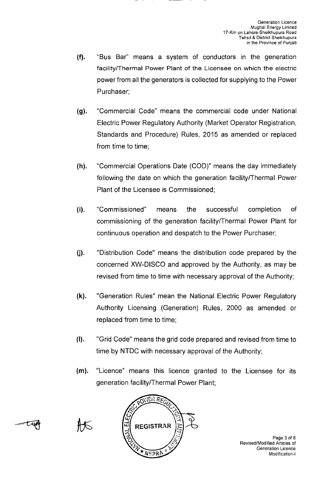- (f). "Bus Bar" means a system of conductors in the generation facility/Thermal Power Plant of the Licensee on which the electric power from all the generators is collected for supplying to the Power Purchaser;
- (g). "Commercial Code" means the commercial code under National Electric Power Regulatory Authority (Market Operator Registration, Standards and Procedure) Rules, 2015 as amended or replaced from time to time;
- (h). "Commercial Operations Date (COD)" means the day immediately following the date on which the generation facility/Thermal Power Plant of the Licensee is Commissioned;
- "Commissioned" means the successful completion of  $(i)$ . commissioning of the generation facility/Thermal Power Plant for continuous operation and despatch to the Power Purchaser;
- U). "Distribution Code" means the distribution code prepared by the concerned XW-DISCO and approved by the Authority, as may be revised from time to time with necessary approval of the Authority;
- (k). "Generation Rules" mean the National Electric Power Regulatory Authority Licensing (Generation) Rules, 2000 as amended or replaced from time to time;
- (I). "Grid Code' means the grid code prepared and revised from time to time by NTDC with necessary approval of the Authority;
- (m). "Licence" means this licence granted to the Licensee for its generation facility/Thermal Power Plant;



Page 3 of B Revised/Modified Articles of Generation Licence Modification-I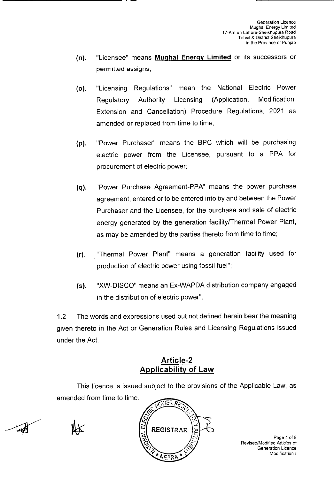- (n). "Licensee" means Muqhal **Enerqv Limited** or its successors or permitted assigns;
- (o). "Licensing Regulations" mean the National Electric Power Regulatory Authority Licensing (Application, Modification, Extension and Cancellation) Procedure Regulations, 2021 as amended or replaced from time to time;
- (p). "Power Purchaser" means the BPC which will be purchasing electric power from the Licensee, pursuant to a PPA for procurement of electric power;
- (q). "Power Purchase Agreement-PPA" means the power purchase agreement, entered or to be entered into by and between the Power Purchaser and the Licensee, for the purchase and sale of electric energy generated by the generation facility/Thermal Power Plant, as may be amended by the parties thereto from time to time;
- (r). "Thermal Power Plant" means a generation facility used for production of electric power using fossil fuel";
- (s). "XW-DlSCO" means an Ex-WAPDA distribution company engaged in the distribution of electric power".

1.2 The words and expressions used but not defined herein bear the meaning given thereto in the Act or Generation Rules and Licensing Regulations issued under the Act.

## **A rti ci e-2 Applicability of Law**

This licence is issued subject to the provisions of the Applicable Law, as amended from time to time.



Page 4 of 8 Revised/Modified Articles of Generation Licence Modification-I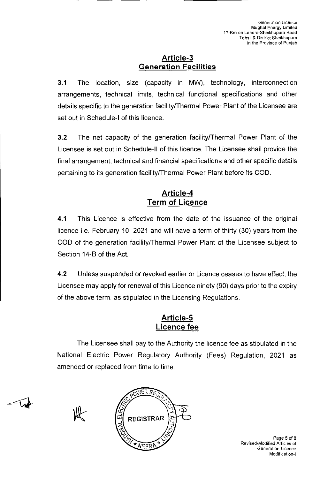#### Article-3 **Generation Facilities**

**3.1** The location, size (capacity in MW), technology, interconnection arrangements, technical limits, technical functional specifications and other details specific to the generation facility/Thermal Power Plant of the Licensee are set out in Schedule-I of this licence.

**3.2** The net capacity of the generation facility/Thermal Power Plant of the Licensee is set out in Schedule-Il of this licence. The Licensee shall provide the final arrangement, technical and financial specifications and other specific details pertaining to its generation facility/Thermal Power Plant before its COD.

## **Article-4 Term of Licence**

**4.1** This Licence is effective from the date of the issuance of the original licence i.e. February 10, 2021 and will have a term of thirty (30) years from the COD of the generation facility/Thermal Power Plant of the Licensee subject to Section 14-B of the Act.

4.2 Unless suspended or revoked earlier or Licence ceases to have effect, the Licensee may apply for renewal of this Licence ninety (90) days prior to the expiry of the above term, as stipulated in the Licensing Regulations.

### **Article-5 Licence fee**

The Licensee shall pay to the Authority the licence fee as stipulated in the National Electric Power Regulatory Authority (Fees) Regulation, 2021 as amended or replaced from time to time.



 $\sqrt{ }$ 



Page 5 of 8 Revised/Modified Articles of Generation Licence Modification-I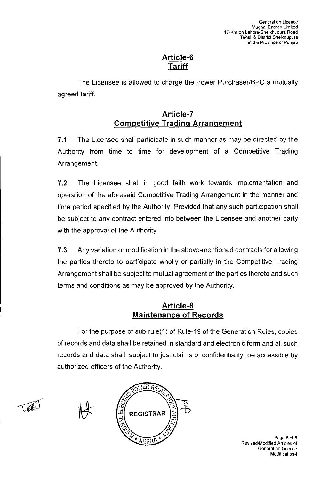### **Article-6 Tariff**

The Licensee is allowed to charge the Power Purchaser/BPC a mutually agreed tariff.

## **Article -7 Competitive Tradinq Arranqement**

7.1 The Licensee shall participate in such manner as may be directed by the Authority from time to time for development of a Competitive Trading Arrangement.

**7.2** The Licensee shall in good faith work towards implementation and operation of the aforesaid Competitive Trading Arrangement in the manner and time period specified by the Authority. Provided that any such participation shall be subject to any contract entered into between the Licensee and another party with the approval of the Authority.

7.3 Any variation or modification in the above-mentioned contracts for allowing the parties thereto to participate wholly or partially in the Competitive Trading Arrangement shall be subject to mutual agreement of the parties thereto and such terms and conditions as may be approved by the Authority.

### **Article-8 Maintenance of Records**

For the purpose of sub-rule(1) of Rule-19 of the Generation Rules, copies of records and data shall be retained in standard and electronic form and all such records and data shall, subject to just claims of confidentiality, be accessible by authorized officers of the Authority.





Page 6 of 8 Revised/Modified Articles of Generation Licence Modification-I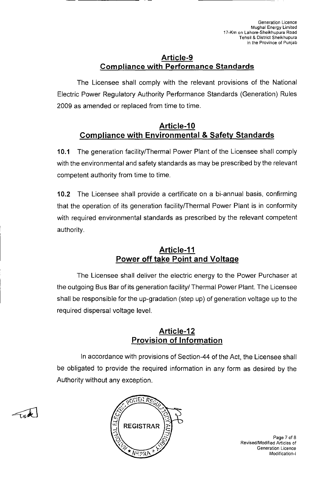#### **Article-9 Compliance with Performance Standards**

The Licensee shall comply with the relevant provisions of the National Electric Power Regulatory Authority Performance Standards (Generation) Rules 2009 as amended or replaced from time to time.

### **Article-I 0 Compliance with Environmental & Safety Standards**

10.1 The generation facility/Thermal Power Plant of the Licensee shall comply with the environmental and safety standards as may be prescribed by the relevant competent authority from time to time.

10.2 The Licensee shall provide a certificate on a bi-annual basis, confirming that the operation of its generation facility/Thermal Power Plant is in conformity with required environmental standards as prescribed by the relevant competent authority.

## **Article-Il Power off take Point and Voltage**

The Licensee shall deliver the electric energy to the Power Purchaser at the outgoing Bus Bar of its generation facility/ Thermal Power Plant. The Licensee shall be responsible for the up-gradation (step up) of generation voltage up to the required dispersal voltage level.

### **Article-I 2 Provision of Information**

In accordance with provisions of Section-44 of the Act, the Licensee shall be obligated to provide the required information in any form as desired by the Authority without any exception.





Page 7 of 8 Revised/Modified Articles of Generation Licence Modification-I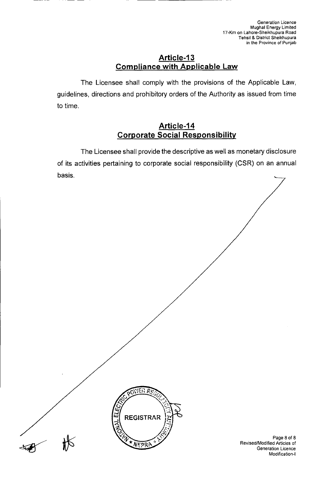#### **Article-I 3 Compliance with Applicable Law**

The Licensee shall comply with the provisions of the Applicable Law, guidelines, directions and prohibitory orders of the Authority as issued from time to time.

#### Article-14 **Corporate Social Responsibility**

The Licensee shall provide the descriptive as well as monetary disclosure of its activities pertaining to corporate social responsibility (CSR) on an annual basis.



Page 8 of 8 Revised/Modified Articles of Generation Licence Modification-I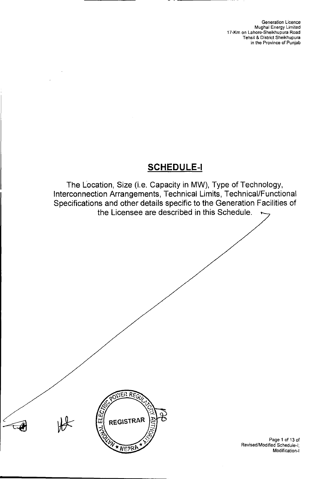Generation Licence Mughal Energy Limited 17-Km on Lahore-Sheikhupura Road Tehsil & District Sheikhupura in the Province of Punjab

# SCHEDULE-I

The Location, Size (i.e. Capacity in MW), Type of Technology, Interconnection Arrangements, Technical Limits, Technical/Functional Specifications and other details specific to the Generation Facilities of the Licensee are described in this Schedule.



Page 1 of 13 of Revised/Modified Schedule-I; Modification-I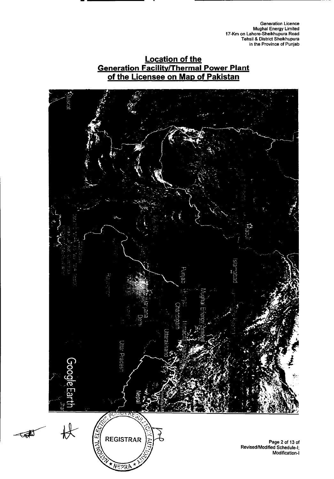**Generation Licence Mughal Energy Limited 17-Km on Lahore-Sheikhupura Road lehsil & District Sheikhupura in the Province of Punjab** 

### **Location of the Generation Facility/Thermal Power Plant of the Licensee on Map of Pakistan**

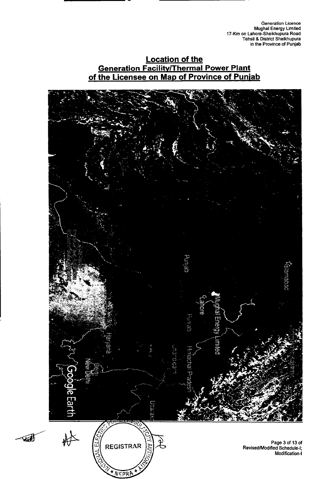**Generation Licence Mughal Energy Limited 17-Km on Lahore-Sheikhupura Road Tehsil & District Sheikhupura in the Province of Punjab** 

#### **Location of the Generation Facility/Thermal Power Plant of the Licensee on Map of Province of Puniab**

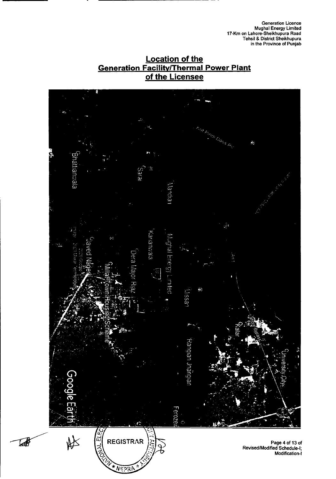**Generation Licence Mughal Energy Limited 17-Km on Lahore-Sheikhupura Road Tehsil & District Sheikhupura in the Province of Punjab** 





Lab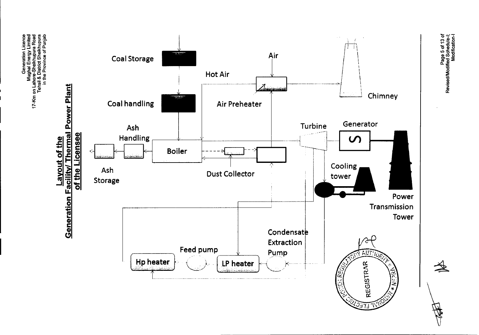e g g e ion Licenc<br>Trifte – Emitte<br>Pois Roa<br>Cof Punja:<br>Cof Punja: <u> 이 등 중</u><br>이 이 등 없는<br>이 이 이 이 이 이 <u>គ្រូ គ</u><br>ក្នុង គ្រូ គ្រូ<br>ក្នុង គ្រូ គ្រូ Lahore<br>#hsil &<br>\_in the o



Page 5 of 13 of<br>Revised/Modified Schedule-I;<br>Modification-I

**RAN**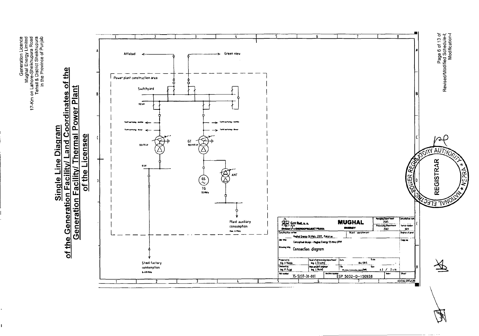e g a g a<br>Fe g a g a<br>Fe g a e tion Lice<br>ergy Lin<br>upura F<br>Sheikhu<br>ce of Pu Genera<br>Mughal En<br>Lahore-Sheiki<br>Pistrict<br>In the Provin E r'.

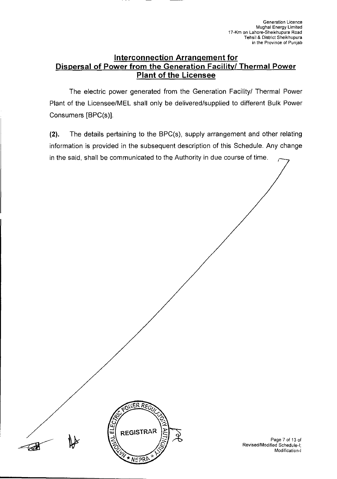#### **Interconnection Arranqement for Dispersal of Power from the Generation Facility! Thermal Power Plant of the Licensee**

The electric power generated from the Generation Facility/ Thermal Power Plant of the Licensee/MEL shall only be delivered/supplied to different Bulk Power Consumers [BPC(s)].

(2). The details pertaining to the BPC(s), supply arrangement and other relating information is provided in the subsequent description of this Schedule. Any change in the said, shall be communicated to the Authority in due course of time.



Page 7 of 13 of Revised/Modified Schedule-I; Modification-I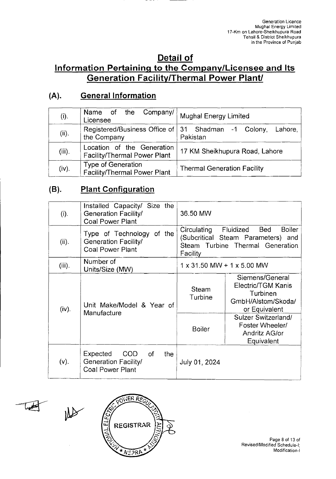## **Detail of Information Pertaininq to the Company/Licensee and Its Generation Facility/Thermal Power Plant!**

## **(A). General Information**

| (i).      | Name of the Company/<br>Licensee                                   | <b>Mughal Energy Limited</b>       |
|-----------|--------------------------------------------------------------------|------------------------------------|
| (ii).     | Registered/Business Office of 31 Shadman -1 Colony,<br>the Company | Lahore,<br>Pakistan                |
| $(iii)$ . | Location of the Generation<br>Facility/Thermal Power Plant         | 17 KM Sheikhupura Road, Lahore     |
| (iv).     | Type of Generation<br><b>Facility/Thermal Power Plant</b>          | <b>Thermal Generation Facility</b> |

## **(B). Plant Confiquration**

| (i).      | Installed Capacity/ Size the<br>Generation Facility/<br><b>Coal Power Plant</b>               | 36.50 MW                                                                                                                               |                                                                                          |
|-----------|-----------------------------------------------------------------------------------------------|----------------------------------------------------------------------------------------------------------------------------------------|------------------------------------------------------------------------------------------|
| (ii).     | Type of Technology of the<br>Generation Facility/<br><b>Coal Power Plant</b>                  | Fluidized<br>Bed<br><b>Boiler</b><br>Circulating<br>(Subcritical Steam Parameters) and<br>Steam Turbine Thermal Generation<br>Facility |                                                                                          |
| $(iii)$ . | Number of<br>Units/Size (MW)                                                                  | $1 \times 31.50$ MW + $1 \times 5.00$ MW                                                                                               |                                                                                          |
| (iv).     | Unit Make/Model & Year of                                                                     | Steam<br>Turbine                                                                                                                       | Siemens/General<br>Electric/TGM Kanis<br>Turbinen<br>GmbH/Alstom/Skoda/<br>or Equivalent |
|           | Manufacture                                                                                   |                                                                                                                                        | Sulzer Switzerland/<br>Foster Wheeler/<br>Andritz AG/or<br>Equivalent                    |
| $(v)$ .   | Expected<br><b>COD</b><br>0f<br>the<br><b>Generation Facility/</b><br><b>Coal Power Plant</b> | July 01, 2024                                                                                                                          |                                                                                          |



Page 8 of 13 of Revised/Modified Schedule-I; Modification-I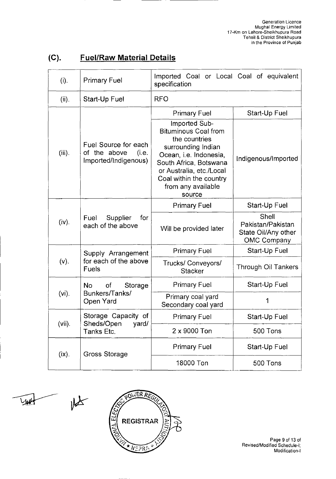| (i).      | <b>Primary Fuel</b>                                                   | Imported Coal or Local Coal of equivalent<br>specification                                                                                                                                                                     |                                                                         |  |
|-----------|-----------------------------------------------------------------------|--------------------------------------------------------------------------------------------------------------------------------------------------------------------------------------------------------------------------------|-------------------------------------------------------------------------|--|
| (ii).     | Start-Up Fuel                                                         | <b>RFO</b>                                                                                                                                                                                                                     |                                                                         |  |
|           |                                                                       | <b>Primary Fuel</b>                                                                                                                                                                                                            | Start-Up Fuel                                                           |  |
| $(iii)$ . | Fuel Source for each<br>of the above<br>(i.e.<br>Imported/Indigenous) | Imported Sub-<br><b>Bituminous Coal from</b><br>the countries<br>surrounding Indian<br>Ocean, i.e. Indonesia,<br>South Africa, Botswana<br>or Australia, etc./Local<br>Coal within the country<br>from any available<br>source | Indigenous/Imported                                                     |  |
|           |                                                                       | <b>Primary Fuel</b>                                                                                                                                                                                                            | Start-Up Fuel                                                           |  |
| (iv).     | Supplier<br>for<br>Fuel<br>each of the above                          | Will be provided later                                                                                                                                                                                                         | Shell<br>Pakistan/Pakistan<br>State Oil/Any other<br><b>OMC Company</b> |  |
|           | Supply Arrangement                                                    | <b>Primary Fuel</b>                                                                                                                                                                                                            | Start-Up Fuel                                                           |  |
| (v).      | for each of the above<br>Fuels                                        | Trucks/ Conveyors/<br><b>Stacker</b>                                                                                                                                                                                           | Through Oil Tankers                                                     |  |
|           | of<br><b>No</b><br>Storage                                            | <b>Primary Fuel</b>                                                                                                                                                                                                            | Start-Up Fuel                                                           |  |
| $(vi)$ .  | Bunkers/Tanks/<br>Open Yard                                           | Primary coal yard<br>Secondary coal yard                                                                                                                                                                                       | 1                                                                       |  |
|           | Storage Capacity of                                                   | <b>Primary Fuel</b>                                                                                                                                                                                                            | Start-Up Fuel                                                           |  |
| $(vii)$ . | Sheds/Open<br>yard/<br>Tanks Etc.                                     | 2 x 9000 Ton                                                                                                                                                                                                                   | 500 Tons                                                                |  |
| $(ix)$ .  | <b>Gross Storage</b>                                                  | <b>Primary Fuel</b>                                                                                                                                                                                                            | Start-Up Fuel                                                           |  |
|           |                                                                       | 18000 Ton                                                                                                                                                                                                                      | 500 Tons                                                                |  |

# **(C). Fuel/Raw Material Details**

**Vytt** 

 $M_{\star}$ 



Page 9 of 13 of Revised/Modified Schedule-I; Modification-I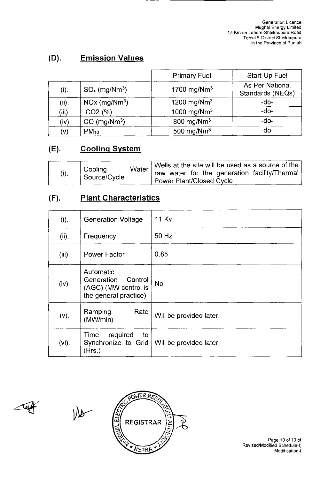## **(D). Emission Values**

|                |                             | <b>Primary Fuel</b>     | Start-Up Fuel                       |
|----------------|-----------------------------|-------------------------|-------------------------------------|
| (i).           | $SOx$ (mg/Nm <sup>3</sup> ) | 1700 mg/Nm <sup>3</sup> | As Per National<br>Standards (NEQs) |
| (ii).          | $NOx$ (mg/ $Nm^3$ )         | 1200 mg/Nm <sup>3</sup> | -do-                                |
| $(iii)$ .      | CO2(%)                      | 1000 mg/Nm <sup>3</sup> | $-do-$                              |
| (iv)           | $CO$ (mg/Nm <sup>3</sup> )  | 800 mg/Nm <sup>3</sup>  | -do-                                |
| $(\mathsf{v})$ | $PM_{10}$                   | 500 mg/ $Nm^3$          | $-do-$                              |

# **(E). Coolinq System**

|      | Cooling      | Water                           | Wells at the site will be used as a source of the |
|------|--------------|---------------------------------|---------------------------------------------------|
| (i). | Source/Cycle |                                 | raw water for the generation facility/Thermal     |
|      |              | <b>Power Plant/Closed Cycle</b> |                                                   |

## **(F). Plant Characteristics**

| (i).      | <b>Generation Voltage</b>                                                           | <b>11 Kv</b>                  |
|-----------|-------------------------------------------------------------------------------------|-------------------------------|
| (ii).     | Frequency                                                                           | 50 Hz                         |
| $(iii)$ . | Power Factor                                                                        | 0.85                          |
| (iv).     | Automatic<br>Control<br>Generation<br>(AGC) (MW control is<br>the general practice) | <b>No</b>                     |
| $(v)$ .   | Rate<br>Ramping<br>(MW/min)                                                         | Will be provided later        |
| $(vi)$ .  | required<br>Time<br>to<br>Synchronize to Grid<br>(Hrs.)                             | <b>Will be provided later</b> |

Tap





Page 10 of 13 of Revised/Modified Schedule-I; Modification-I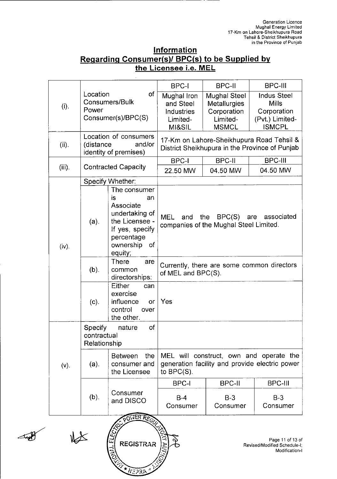| Information                                     |  |  |  |  |
|-------------------------------------------------|--|--|--|--|
| Regarding Consumer(s)/ BPC(s) to be Supplied by |  |  |  |  |
| the Licensee i.e. MEL                           |  |  |  |  |

|                  |                                        |                                                                                                                                                                                                                   | <b>BPC-I</b>                                                                                               | <b>BPC-II</b>                                                                         | <b>BPC-III</b>                                                                              |
|------------------|----------------------------------------|-------------------------------------------------------------------------------------------------------------------------------------------------------------------------------------------------------------------|------------------------------------------------------------------------------------------------------------|---------------------------------------------------------------------------------------|---------------------------------------------------------------------------------------------|
| (i).             | Location<br>Power                      | of<br>Consumers/Bulk<br>Consumer(s)/BPC(S)                                                                                                                                                                        | Mughal Iron<br>and Steel<br><b>Industries</b><br>Limited-<br>MI&SIL                                        | <b>Mughal Steel</b><br><b>Metallurgies</b><br>Corporation<br>Limited-<br><b>MSMCL</b> | <b>Indus Steel</b><br><b>Mills</b><br>Corporation<br>(Pvt.) Limited-<br><b>ISMCPL</b>       |
| (ii).            | (distance                              | Location of consumers<br>and/or<br>identity of premises)                                                                                                                                                          |                                                                                                            |                                                                                       | 17-Km on Lahore-Sheikhupura Road Tehsil &<br>District Sheikhupura in the Province of Punjab |
|                  |                                        |                                                                                                                                                                                                                   | <b>BPC-I</b>                                                                                               | <b>BPC-II</b>                                                                         | <b>BPC-III</b>                                                                              |
| $(iii)$ .        |                                        | <b>Contracted Capacity</b>                                                                                                                                                                                        | 22.50 MW                                                                                                   | 04.50 MW                                                                              | 04.50 MW                                                                                    |
|                  |                                        | Specify Whether:                                                                                                                                                                                                  |                                                                                                            |                                                                                       |                                                                                             |
| (iv).            | (a).                                   | The consumer<br>is<br>an<br>Associate<br>undertaking of<br>BPC(S)<br>MEL<br>the<br>and<br>the Licensee -<br>companies of the Mughal Steel Limited.<br>If yes, specify<br>percentage<br>ownership<br>of<br>equity; |                                                                                                            | associated<br>are                                                                     |                                                                                             |
|                  | $(b)$ .                                | There<br>are<br>common<br>directorships:                                                                                                                                                                          | Currently, there are some common directors<br>of MEL and BPC(S).                                           |                                                                                       |                                                                                             |
|                  | (c).                                   | Either<br>can<br>exercise<br>influence<br>or<br>control<br>over<br>the other.                                                                                                                                     | Yes                                                                                                        |                                                                                       |                                                                                             |
|                  | Specify<br>contractual<br>Relationship | of<br>nature                                                                                                                                                                                                      |                                                                                                            |                                                                                       |                                                                                             |
| $(v)$ .          | $(a)$ .                                | the<br><b>Between</b><br>consumer and<br>the Licensee                                                                                                                                                             | MEL will construct, own and operate the<br>generation facility and provide electric power<br>to $BPC(S)$ . |                                                                                       |                                                                                             |
|                  |                                        |                                                                                                                                                                                                                   | <b>BPC-I</b>                                                                                               | <b>BPC-II</b>                                                                         | <b>BPC-III</b>                                                                              |
|                  | (b).                                   | Consumer<br>and DISCO                                                                                                                                                                                             | $B-4$<br>Consumer                                                                                          | $B-3$<br>Consumer                                                                     | $B-3$<br>Consumer                                                                           |
|                  |                                        | POWER REGILA                                                                                                                                                                                                      |                                                                                                            |                                                                                       |                                                                                             |
| <b>REGISTRAR</b> |                                        |                                                                                                                                                                                                                   |                                                                                                            | Page 11 of 13 of<br>Revised/Modified Schedule-I;                                      |                                                                                             |

 $\overline{u}$ 

E

**AXAMERAT** 

Revised/Modified Schedule-I; Modification-I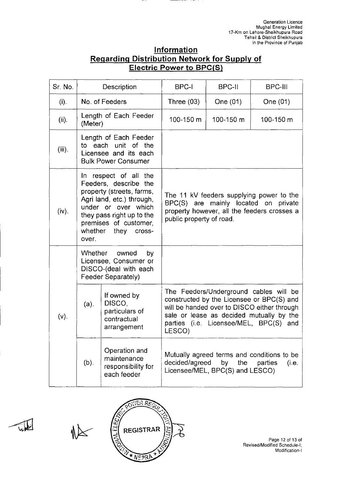| Information                                         |  |  |  |  |
|-----------------------------------------------------|--|--|--|--|
| <b>Regarding Distribution Network for Supply of</b> |  |  |  |  |
| <b>Electric Power to BPC(S)</b>                     |  |  |  |  |

| Sr. No.   |                                                                                                                                                                                                                             | Description                                                                                         | <b>BPC-I</b>             | BPC-II                                                                                                                                                                                                                   | <b>BPC-III</b>                                                                                                                  |
|-----------|-----------------------------------------------------------------------------------------------------------------------------------------------------------------------------------------------------------------------------|-----------------------------------------------------------------------------------------------------|--------------------------|--------------------------------------------------------------------------------------------------------------------------------------------------------------------------------------------------------------------------|---------------------------------------------------------------------------------------------------------------------------------|
| (i).      |                                                                                                                                                                                                                             | No. of Feeders                                                                                      | Three $(03)$             | One (01)                                                                                                                                                                                                                 | One (01)                                                                                                                        |
| (ii).     | (Meter)                                                                                                                                                                                                                     | Length of Each Feeder                                                                               | 100-150 m                | 100-150 m                                                                                                                                                                                                                | 100-150 m                                                                                                                       |
| $(iii)$ . |                                                                                                                                                                                                                             | Length of Each Feeder<br>to each unit of the<br>Licensee and its each<br><b>Bulk Power Consumer</b> |                          |                                                                                                                                                                                                                          |                                                                                                                                 |
| (iv).     | In respect of all the<br>Feeders, describe the<br>property (streets, farms,<br>Agri land, etc.) through,<br>under or over which<br>they pass right up to the<br>premises of customer,<br>whether<br>they<br>cross-<br>over. |                                                                                                     | public property of road. |                                                                                                                                                                                                                          | The 11 kV feeders supplying power to the<br>BPC(S) are mainly located on private<br>property however, all the feeders crosses a |
|           | <b>Whether</b>                                                                                                                                                                                                              | owned<br>by<br>Licensee, Consumer or<br>DISCO-(deal with each<br>Feeder Separately)                 |                          |                                                                                                                                                                                                                          |                                                                                                                                 |
| $(v)$ .   | (a).                                                                                                                                                                                                                        | If owned by<br>DISCO,<br>particulars of<br>contractual<br>arrangement                               | LESCO)                   | The Feeders/Underground cables will be<br>constructed by the Licensee or BPC(S) and<br>will be handed over to DISCO either through<br>sale or lease as decided mutually by the<br>parties (i.e. Licensee/MEL, BPC(S) and |                                                                                                                                 |
|           | (b).                                                                                                                                                                                                                        | Operation and<br>maintenance<br>responsibility for<br>each feeder                                   | decided/agreed           | by<br>the<br>Licensee/MEL, BPC(S) and LESCO)                                                                                                                                                                             | Mutually agreed terms and conditions to be<br>parties<br>(i.e.                                                                  |

![](_page_26_Picture_3.jpeg)

اطلماح

 $\mathbb{R}$ 

Page 12 of 13 of Revised/Modified Schedule-I; Modification-I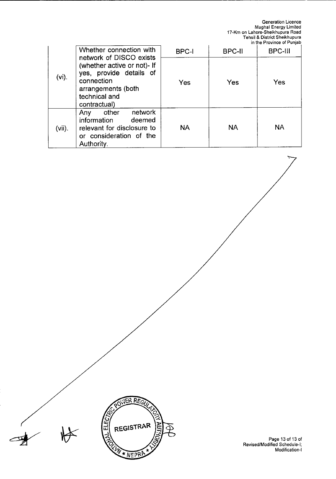Generation Licence Mughal Energy Limited 17-Km on Lahore-Sheikhupura Road Tehsil & District Sheikhupura in the Province of Punjab

|           | Whether connection with                                                                                                                                | <b>BPC-I</b> | <b>BPC-II</b> | BPC-III   |
|-----------|--------------------------------------------------------------------------------------------------------------------------------------------------------|--------------|---------------|-----------|
| $(vi)$ .  | network of DISCO exists<br>(whether active or not)- If<br>yes, provide details of<br>connection<br>arrangements (both<br>technical and<br>contractual) | Yes          | Yes           | Yes       |
| $(vii)$ . | other<br>network<br>Any<br>information<br>deemed<br>relevant for disclosure to<br>or consideration of the<br>Authority.                                | <b>NA</b>    | <b>NA</b>     | <b>NA</b> |

JER REGU

REGISTRAR

N \* NEPRA

ミと

**CONFIDENCIAL** 

Page 13 of 13 of Revised/Modified Schedule-I: Modification-I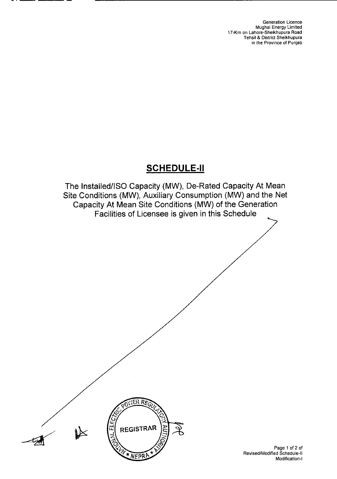# SCHEDULE-Il

The Installed/ISO Capacity (MW), De-Rated Capacity At Mean Site Conditions (MW), Auxiliary Consumption (MW) and the Net Capacity At Mean Site Conditions (MW) of the Generation Facilities of Licensee is given in this Schedule

![](_page_28_Picture_3.jpeg)

Page 1 of 2 of Revised/Modified Schedule-Il Modification-I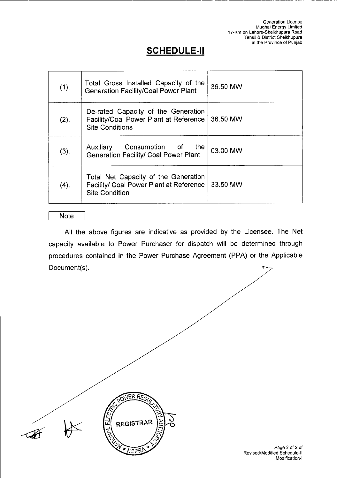# **SCHEDULE-Il**

| (1). | Total Gross Installed Capacity of the<br><b>Generation Facility/Coal Power Plant</b>                     | 36.50 MW |
|------|----------------------------------------------------------------------------------------------------------|----------|
| (2). | De-rated Capacity of the Generation<br>Facility/Coal Power Plant at Reference<br><b>Site Conditions</b>  | 36.50 MW |
| (3). | Consumption of<br>the<br>Auxiliary<br><b>Generation Facility/ Coal Power Plant</b>                       | 03.00 MW |
| (4). | Total Net Capacity of the Generation<br>Facility/ Coal Power Plant at Reference<br><b>Site Condition</b> | 33.50 MW |

#### Note

All the above figures are indicative as provided by the Licensee. The Net capacity available to Power Purchaser for dispatch will be determined through procedures contained in the Power Purchase Agreement (PPA) or the Applicable Document(s).

![](_page_29_Picture_5.jpeg)